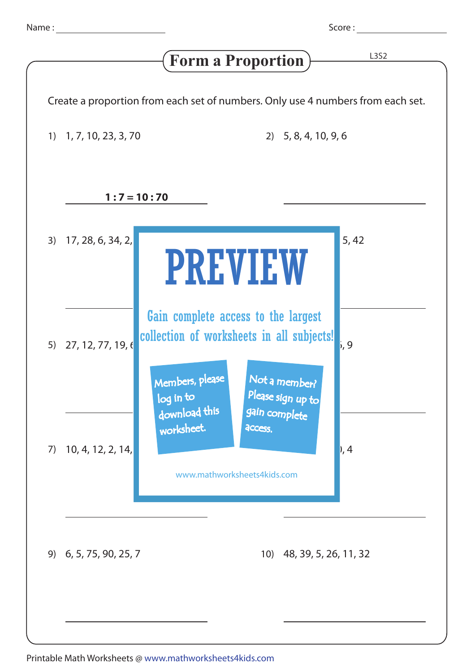